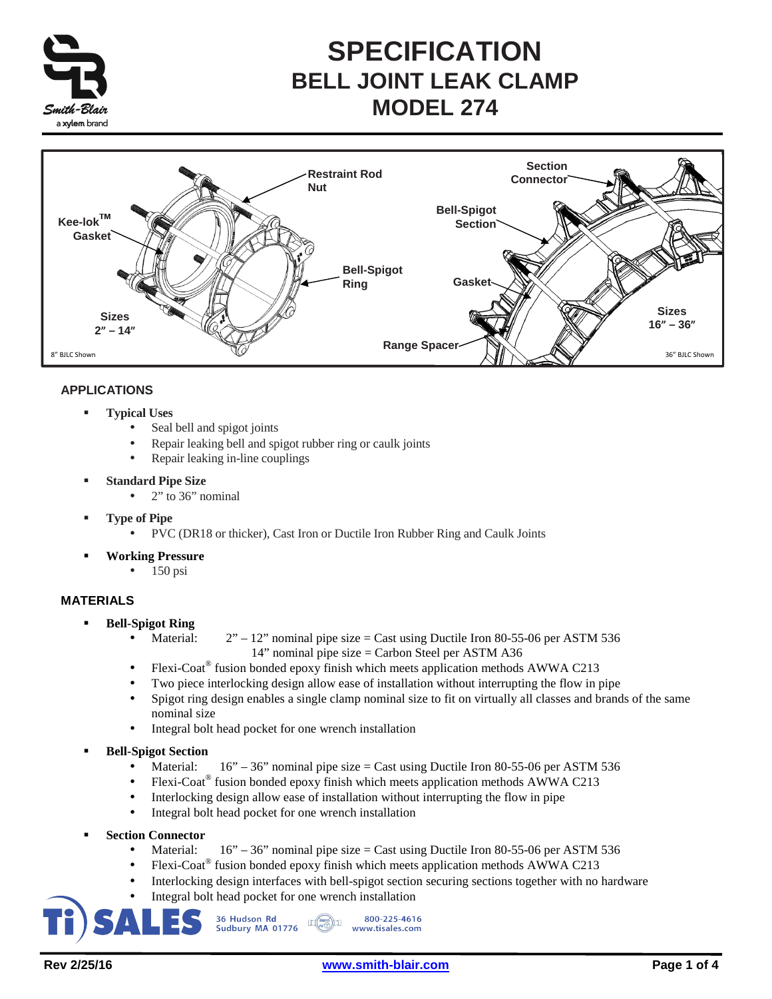

# **SPECIFICATION BELL JOINT LEAK CLAMP MODEL 274**



## **APPLICATIONS**

- **Typical Uses** 
	- Seal bell and spigot joints
	- Repair leaking bell and spigot rubber ring or caulk joints
	- Repair leaking in-line couplings
- **Standard Pipe Size** 
	- $2$ " to 36" nominal
- **Type of Pipe** 
	- PVC (DR18 or thicker), Cast Iron or Ductile Iron Rubber Ring and Caulk Joints
- **Working Pressure** 
	- $\bullet$  150 psi

### **MATERIALS**

- **Bell-Spigot Ring** 
	- Material:  $2" 12"$  nominal pipe size = Cast using Ductile Iron 80-55-06 per ASTM 536 14" nominal pipe size = Carbon Steel per ASTM A36
	- Flexi-Coat® fusion bonded epoxy finish which meets application methods AWWA C213
	- Two piece interlocking design allow ease of installation without interrupting the flow in pipe
	- Spigot ring design enables a single clamp nominal size to fit on virtually all classes and brands of the same nominal size
	- Integral bolt head pocket for one wrench installation
- **Bell-Spigot Section** 
	- Material:  $16" 36"$  nominal pipe size = Cast using Ductile Iron 80-55-06 per ASTM 536
	- Flexi-Coat<sup>®</sup> fusion bonded epoxy finish which meets application methods AWWA C213
	- Interlocking design allow ease of installation without interrupting the flow in pipe
	- Integral bolt head pocket for one wrench installation
- **Section Connector** 
	- Material:  $16" 36"$  nominal pipe size = Cast using Ductile Iron 80-55-06 per ASTM 536
	- Flexi-Coat<sup>®</sup> fusion bonded epoxy finish which meets application methods AWWA C213
	- Interlocking design interfaces with bell-spigot section securing sections together with no hardware
	- Integral bolt head pocket for one wrench installation

36 Hudson Rd 800-225-4616  $\mathbb{E}$   $\mathbb{C}$ Sudbury MA 01776 www.tisales.com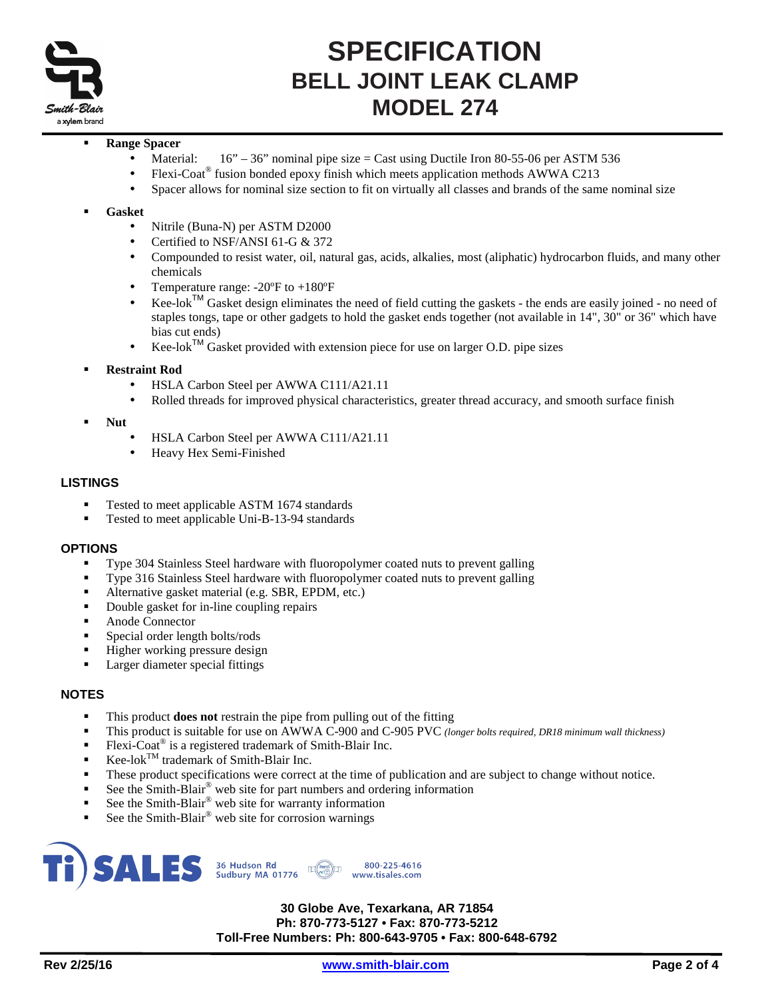

## **SPECIFICATION BELL JOINT LEAK CLAMP MODEL 274**

#### **Range Spacer**

- Material:  $16" 36"$  nominal pipe size = Cast using Ductile Iron 80-55-06 per ASTM 536
- Flexi-Coat® fusion bonded epoxy finish which meets application methods AWWA C213
- Spacer allows for nominal size section to fit on virtually all classes and brands of the same nominal size

#### **Gasket**

- Nitrile (Buna-N) per ASTM D2000
- Certified to NSF/ANSI 61-G & 372
- Compounded to resist water, oil, natural gas, acids, alkalies, most (aliphatic) hydrocarbon fluids, and many other chemicals
- Temperature range:  $-20^{\circ}$ F to  $+180^{\circ}$ F
- Kee-lok™ Gasket design eliminates the need of field cutting the gaskets the ends are easily joined no need of staples tongs, tape or other gadgets to hold the gasket ends together (not available in 14", 30" or 36" which have bias cut ends)
- $Kee$ -lok<sup>TM</sup> Gasket provided with extension piece for use on larger O.D. pipe sizes

#### **Restraint Rod**

- HSLA Carbon Steel per AWWA C111/A21.11
- Rolled threads for improved physical characteristics, greater thread accuracy, and smooth surface finish
- **Nut** 
	- HSLA Carbon Steel per AWWA C111/A21.11
	- Heavy Hex Semi-Finished

#### **LISTINGS**

- Tested to meet applicable ASTM 1674 standards
- Tested to meet applicable Uni-B-13-94 standards

#### **OPTIONS**

- Type 304 Stainless Steel hardware with fluoropolymer coated nuts to prevent galling
- Type 316 Stainless Steel hardware with fluoropolymer coated nuts to prevent galling
- Alternative gasket material (e.g. SBR, EPDM, etc.)
- Double gasket for in-line coupling repairs
- Anode Connector
- Special order length bolts/rods
- Higher working pressure design
- Larger diameter special fittings

### **NOTES**

- This product **does not** restrain the pipe from pulling out of the fitting
- This product is suitable for use on AWWA C-900 and C-905 PVC *(longer bolts required, DR18 minimum wall thickness)*
- Flexi-Coat<sup>®</sup> is a registered trademark of Smith-Blair Inc.
- $Kee$ -lok<sup>TM</sup> trademark of Smith-Blair Inc.
- These product specifications were correct at the time of publication and are subject to change without notice.
- See the Smith-Blair® web site for part numbers and ordering information
- See the Smith-Blair<sup>®</sup> web site for warranty information
- See the Smith-Blair® web site for corrosion warnings



**30 Globe Ave, Texarkana, AR 71854 Ph: 870-773-5127 • Fax: 870-773-5212 Toll-Free Numbers: Ph: 800-643-9705 • Fax: 800-648-6792**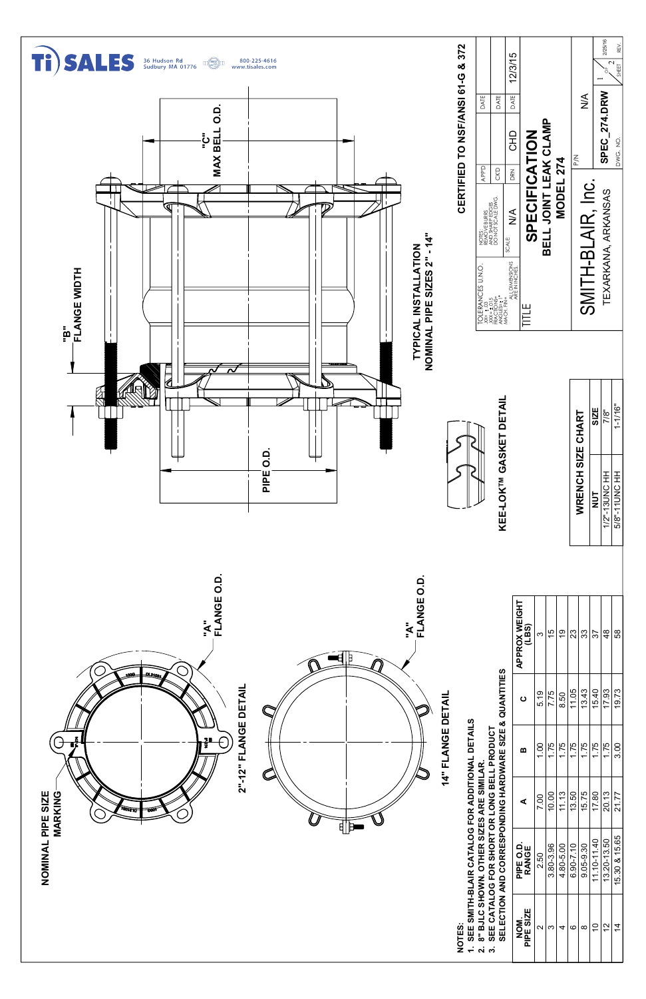

- 
- 
- 
- 
- 
- 
- 
- 
- 
- 
- 
- 
- 
- 
- 
- 
- 
- 
- 
- 
- 
- 
- 
- 
- 
- 
-